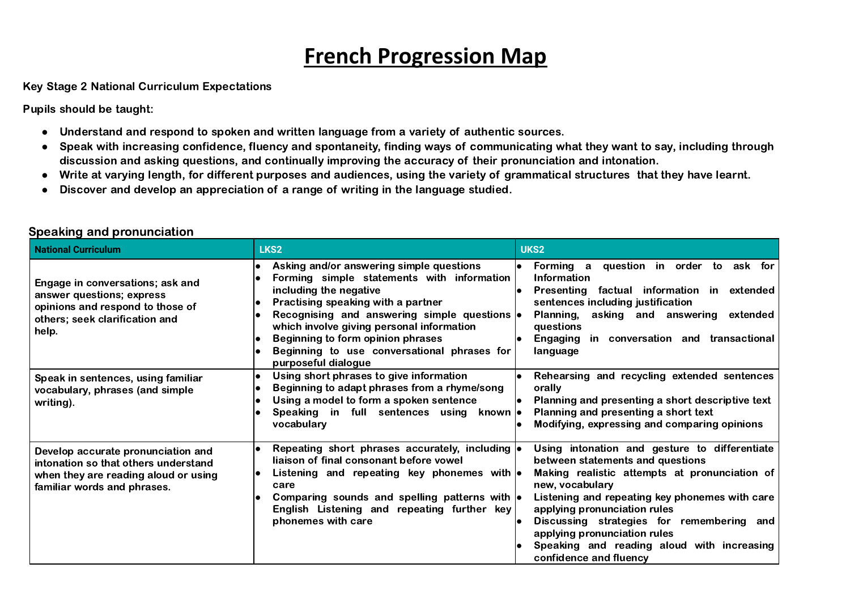# **French Progression Map**

Key Stage 2 National Curriculum Expectations

Pupils should be taught:

- Understand and respond to spoken and written language from a variety of authentic sources.
- Speak with increasing confidence, fluency and spontaneity, finding ways of communicating what they want to say, including through discussion and asking questions, and continually improving the accuracy of their pronunciation and intonation.
- Write at varying length, for different purposes and audiences, using the variety of grammatical structures that they have learnt.
- Discover and develop an appreciation of a range of writing in the language studied.

| <b>National Curriculum</b>                                                                                                                        | LKS2                                                                                                                                                                                                                                                                                                                                                                   | UKS2                                                                                                                                                                                                                                                                                                                                                                                         |
|---------------------------------------------------------------------------------------------------------------------------------------------------|------------------------------------------------------------------------------------------------------------------------------------------------------------------------------------------------------------------------------------------------------------------------------------------------------------------------------------------------------------------------|----------------------------------------------------------------------------------------------------------------------------------------------------------------------------------------------------------------------------------------------------------------------------------------------------------------------------------------------------------------------------------------------|
| Engage in conversations; ask and<br>answer questions; express<br>opinions and respond to those of<br>others; seek clarification and<br>help.      | Asking and/or answering simple questions<br>Forming simple statements with information<br>including the negative<br>Practising speaking with a partner<br>Recognising and answering simple questions $\bullet$<br>which involve giving personal information<br>Beginning to form opinion phrases<br>Beginning to use conversational phrases for<br>purposeful dialogue | Forming a question in order to ask for<br><b>Information</b><br>Presenting factual information in extended<br>sentences including justification<br>Planning, asking and answering<br>extended<br>questions<br>Engaging<br>in conversation and transactional<br>language                                                                                                                      |
| Speak in sentences, using familiar<br>vocabulary, phrases (and simple<br>writing).                                                                | Using short phrases to give information<br>Beginning to adapt phrases from a rhyme/song<br>Using a model to form a spoken sentence<br>Speaking in full sentences using known  .<br>vocabulary                                                                                                                                                                          | Rehearsing and recycling extended sentences<br>orally<br>Planning and presenting a short descriptive text<br>Planning and presenting a short text<br>Modifying, expressing and comparing opinions                                                                                                                                                                                            |
| Develop accurate pronunciation and<br>intonation so that others understand<br>when they are reading aloud or using<br>familiar words and phrases. | Repeating short phrases accurately, including $\bullet$<br>liaison of final consonant before vowel<br>Listening and repeating key phonemes with $\bullet$<br>care<br>Comparing sounds and spelling patterns with $\cdot$<br>English Listening and repeating further key<br>phonemes with care                                                                          | Using intonation and gesture to differentiate<br>between statements and questions<br>Making realistic attempts at pronunciation of<br>new, vocabulary<br>Listening and repeating key phonemes with care<br>applying pronunciation rules<br>Discussing strategies for remembering and<br>applying pronunciation rules<br>Speaking and reading aloud with increasing<br>confidence and fluency |

### Speaking and pronunciation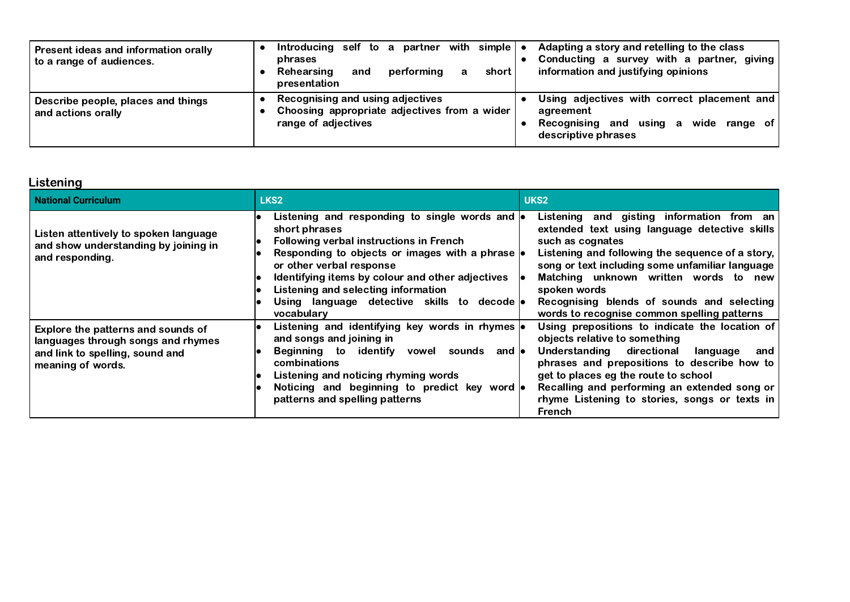| Present ideas and information orally<br>to a range of audiences. | Introducing self to a partner with simple $\bullet$<br>phrases<br>performina<br>short<br>Rehearsing<br>and<br>а<br>presentation | Adapting a story and retelling to the class<br>Conducting a survey with a partner, giving<br>information and justifying opinions  |
|------------------------------------------------------------------|---------------------------------------------------------------------------------------------------------------------------------|-----------------------------------------------------------------------------------------------------------------------------------|
| Describe people, places and things<br>and actions orally         | Recognising and using adjectives<br>Choosing appropriate adjectives from a wider<br>range of adjectives                         | Using adjectives with correct placement and<br>agreement<br>using a<br>wide range of<br>Recognising<br>and<br>descriptive phrases |

# **Listening**

| <b>National Curriculum</b>                                                                                                       | LKS <sub>2</sub>                                                                                                                                                                                                                                                                                                                              | UKS <sub>2</sub>                                                                                                                                                                                                                                                                                                                                                            |
|----------------------------------------------------------------------------------------------------------------------------------|-----------------------------------------------------------------------------------------------------------------------------------------------------------------------------------------------------------------------------------------------------------------------------------------------------------------------------------------------|-----------------------------------------------------------------------------------------------------------------------------------------------------------------------------------------------------------------------------------------------------------------------------------------------------------------------------------------------------------------------------|
| Listen attentively to spoken language<br>and show understanding by joining in<br>and responding.                                 | Listening and responding to single words and  <br>short phrases<br>Following verbal instructions in French<br>Responding to objects or images with a phrase<br>or other verbal response<br>Identifying items by colour and other adjectives<br>Listening and selecting information<br>Using language detective skills to decode<br>vocabulary | Listening and gisting information from an<br>extended text using language detective skills<br>such as cognates<br>Listening and following the sequence of a story,<br>song or text including some unfamiliar language<br>Matching unknown written words to new<br>spoken words<br>Recognising blends of sounds and selecting<br>words to recognise common spelling patterns |
| Explore the patterns and sounds of<br>languages through songs and rhymes<br>and link to spelling, sound and<br>meaning of words. | Listening and identifying key words in rhymes<br>and songs and joining in<br>Beginning to identify<br>sounds<br>vowel<br>and le<br>combinations<br>Listening and noticing rhyming words<br>Noticing and beginning to predict key word<br>patterns and spelling patterns                                                                       | Using prepositions to indicate the location of<br>objects relative to something<br>Understanding directional<br>language<br>and<br>phrases and prepositions to describe how to<br>get to places eg the route to school<br>Recalling and performing an extended song or<br>rhyme Listening to stories, songs or texts in<br><b>French</b>                                    |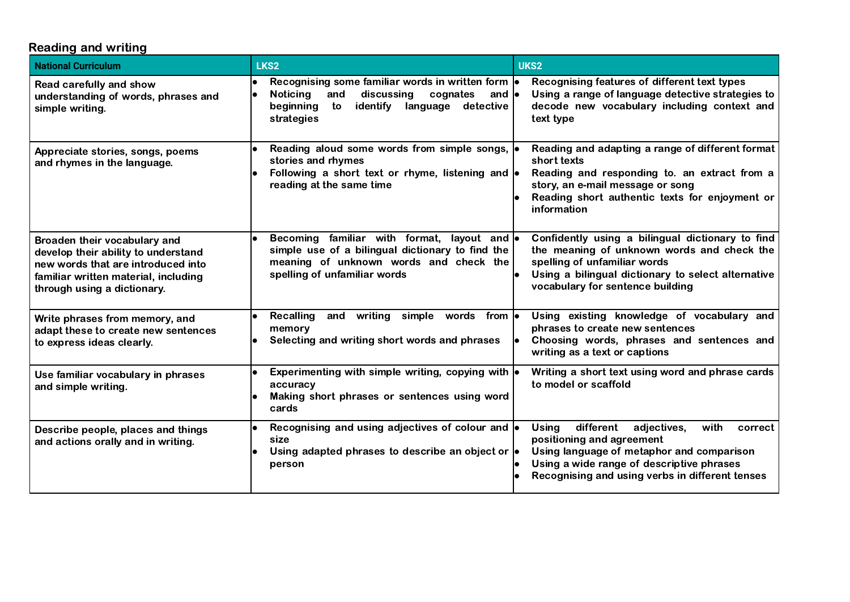# Reading and writing

| <b>National Curriculum</b>                                                                                                                                                       | LKS <sub>2</sub>                                                                                                                                                                        | UKS2                                                                                                                                                                                                                                  |
|----------------------------------------------------------------------------------------------------------------------------------------------------------------------------------|-----------------------------------------------------------------------------------------------------------------------------------------------------------------------------------------|---------------------------------------------------------------------------------------------------------------------------------------------------------------------------------------------------------------------------------------|
| Read carefully and show<br>understanding of words, phrases and<br>simple writing.                                                                                                | Recognising some familiar words in written form  .<br><b>Noticing</b><br>discussing<br>cognates<br>and<br>and $\bullet$<br>identify language detective<br>to<br>beginning<br>strategies | Recognising features of different text types<br>Using a range of language detective strategies to<br>decode new vocabulary including context and<br>text type                                                                         |
| Appreciate stories, songs, poems<br>and rhymes in the language.                                                                                                                  | Reading aloud some words from simple songs,  .<br>stories and rhymes<br>Following a short text or rhyme, listening and $\bullet$<br>reading at the same time                            | Reading and adapting a range of different format<br>short texts<br>Reading and responding to. an extract from a<br>story, an e-mail message or song<br>Reading short authentic texts for enjoyment or<br>information                  |
| Broaden their vocabulary and<br>develop their ability to understand<br>new words that are introduced into<br>familiar written material, including<br>through using a dictionary. | Becoming familiar with format, layout and $\bullet$<br>simple use of a bilingual dictionary to find the<br>meaning of unknown words and check the<br>spelling of unfamiliar words       | Confidently using a bilingual dictionary to find<br>the meaning of unknown words and check the<br>spelling of unfamiliar words<br>Using a bilingual dictionary to select alternative<br>vocabulary for sentence building              |
| Write phrases from memory, and<br>adapt these to create new sentences<br>to express ideas clearly.                                                                               | <b>Recalling</b><br>writing<br>simple<br>words from lo<br>and<br>memory<br>Selecting and writing short words and phrases                                                                | Using existing knowledge of vocabulary and<br>phrases to create new sentences<br>Choosing words, phrases and sentences and<br>writing as a text or captions                                                                           |
| Use familiar vocabulary in phrases<br>and simple writing.                                                                                                                        | Experimenting with simple writing, copying with $\vert \bullet \vert$<br>accuracy<br>Making short phrases or sentences using word<br>cards                                              | Writing a short text using word and phrase cards<br>to model or scaffold                                                                                                                                                              |
| Describe people, places and things<br>and actions orally and in writing.                                                                                                         | Recognising and using adjectives of colour and $\bullet$<br>size<br>Using adapted phrases to describe an object or $\bullet$<br>person                                                  | different<br>with<br><b>Using</b><br>adjectives,<br>correct<br>positioning and agreement<br>Using language of metaphor and comparison<br>Using a wide range of descriptive phrases<br>Recognising and using verbs in different tenses |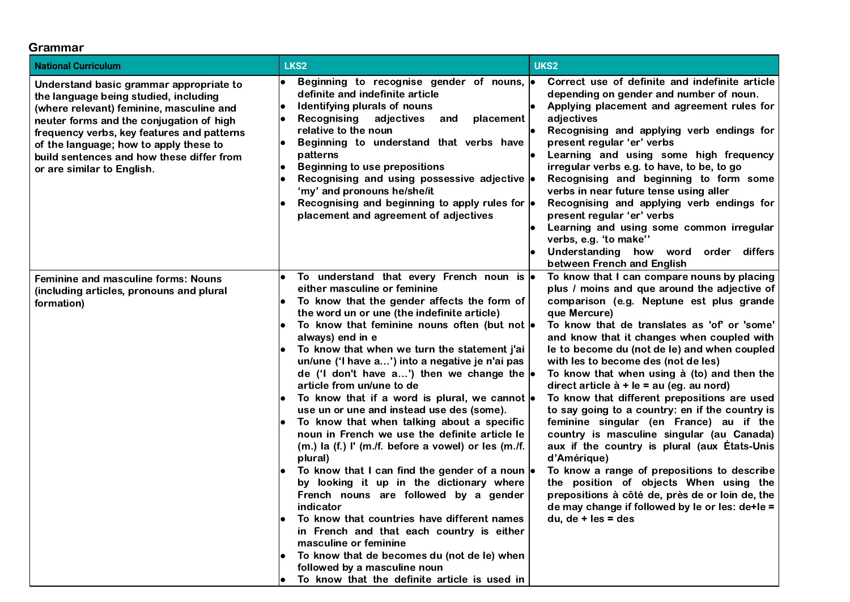#### Grammar

| <b>National Curriculum</b>                                                                                                                                                                                                                                                                                                                  | LKS2                                                                                                                                                                                                                                                                                                                                                                                                                                                                                                                                                                                                                                                                                                                                                                                                                                                                                                                                                                                                                                                                                                                                             | UKS2                                                                                                                                                                                                                                                                                                                                                                                                                                                                                                                                                                                                                                                                                                                                                                                                                                                                                                                             |
|---------------------------------------------------------------------------------------------------------------------------------------------------------------------------------------------------------------------------------------------------------------------------------------------------------------------------------------------|--------------------------------------------------------------------------------------------------------------------------------------------------------------------------------------------------------------------------------------------------------------------------------------------------------------------------------------------------------------------------------------------------------------------------------------------------------------------------------------------------------------------------------------------------------------------------------------------------------------------------------------------------------------------------------------------------------------------------------------------------------------------------------------------------------------------------------------------------------------------------------------------------------------------------------------------------------------------------------------------------------------------------------------------------------------------------------------------------------------------------------------------------|----------------------------------------------------------------------------------------------------------------------------------------------------------------------------------------------------------------------------------------------------------------------------------------------------------------------------------------------------------------------------------------------------------------------------------------------------------------------------------------------------------------------------------------------------------------------------------------------------------------------------------------------------------------------------------------------------------------------------------------------------------------------------------------------------------------------------------------------------------------------------------------------------------------------------------|
| Understand basic grammar appropriate to<br>the language being studied, including<br>(where relevant) feminine, masculine and<br>neuter forms and the conjugation of high<br>frequency verbs, key features and patterns<br>of the language; how to apply these to<br>build sentences and how these differ from<br>or are similar to English. | Beginning to recognise gender of nouns, $\bullet$<br>definite and indefinite article<br>Identifying plurals of nouns<br>Recognising<br>adjectives<br>placement<br>and<br>relative to the noun<br>Beginning to understand that verbs have<br>patterns<br><b>Beginning to use prepositions</b><br>Recognising and using possessive adjective $\bullet$<br>'my' and pronouns he/she/it<br>Recognising and beginning to apply rules for $\bullet$<br>placement and agreement of adjectives                                                                                                                                                                                                                                                                                                                                                                                                                                                                                                                                                                                                                                                           | Correct use of definite and indefinite article<br>depending on gender and number of noun.<br>Applying placement and agreement rules for<br>adjectives<br>Recognising and applying verb endings for<br>present regular 'er' verbs<br>Learning and using some high frequency<br>irregular verbs e.g. to have, to be, to go<br>Recognising and beginning to form some<br>verbs in near future tense using aller<br>Recognising and applying verb endings for<br>present regular 'er' verbs<br>Learning and using some common irregular<br>verbs, e.g. 'to make''<br>Understanding how word order differs<br>between French and English                                                                                                                                                                                                                                                                                              |
| <b>Feminine and masculine forms: Nouns</b><br>(including articles, pronouns and plural<br>formation)                                                                                                                                                                                                                                        | To understand that every French noun is $\bullet$<br>either masculine or feminine<br>To know that the gender affects the form of<br>the word un or une (the indefinite article)<br>To know that feminine nouns often (but not $\bullet$<br>always) end in e<br>To know that when we turn the statement j'ai<br>un/une ('I have a') into a negative je n'ai pas<br>de ('I don't have a') then we change the $  \bullet  $<br>article from un/une to de<br>To know that if a word is plural, we cannot $\bullet$<br>use un or une and instead use des (some).<br>To know that when talking about a specific<br>noun in French we use the definite article le<br>$(m.)$ la $(f.)$ I' $(m./f.)$ before a vowel) or les $(m./f.)$<br>plural)<br>To know that I can find the gender of a noun  .<br>by looking it up in the dictionary where<br>French nouns are followed by a gender<br>indicator<br>To know that countries have different names<br>in French and that each country is either<br>masculine or feminine<br>To know that de becomes du (not de le) when<br>followed by a masculine noun<br>To know that the definite article is used in | To know that I can compare nouns by placing<br>plus / moins and que around the adjective of<br>comparison (e.g. Neptune est plus grande<br>que Mercure)<br>To know that de translates as 'of' or 'some'<br>and know that it changes when coupled with<br>le to become du (not de le) and when coupled<br>with les to become des (not de les)<br>To know that when using à (to) and then the<br>direct article $\dot{a}$ + le = au (eg. au nord)<br>To know that different prepositions are used<br>to say going to a country: en if the country is<br>feminine singular (en France) au if the<br>country is masculine singular (au Canada)<br>aux if the country is plural (aux Etats-Unis<br>d'Amérique)<br>To know a range of prepositions to describe<br>the position of objects When using the<br>prepositions à côté de, près de or loin de, the<br>de may change if followed by le or les: de+le =<br>$du, de + les = des$ |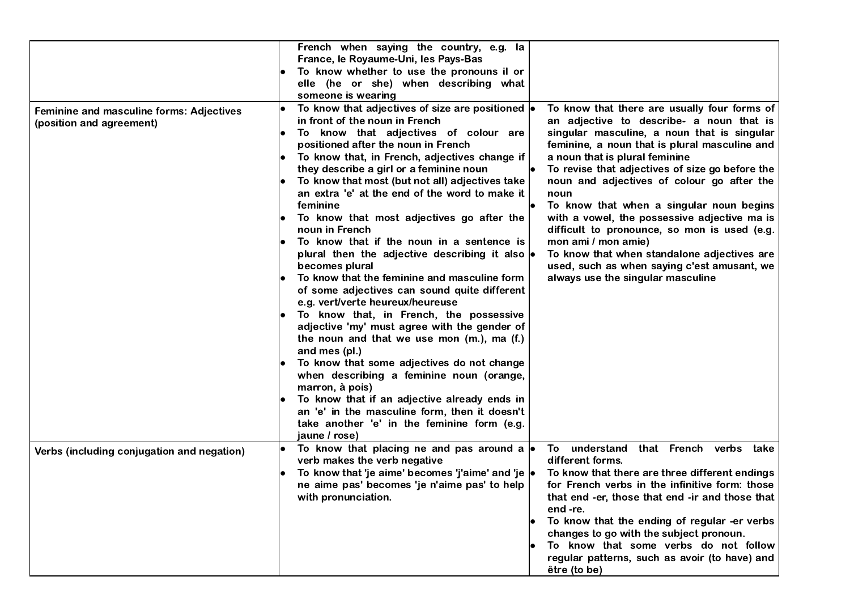|                                                                      | French when saying the country, e.g. la<br>France, le Royaume-Uni, les Pays-Bas<br>To know whether to use the pronouns il or<br>elle (he or she) when describing what<br>someone is wearing                                                                                                                                                                                                                                                                                                                                                                                                                                                                                                                                                                                                                                                                                                                                                                                                                                                                                                                                                                                                                                                                                                                                                                                                                                                                                                                                                                                                                                                                                                                                                                                                              |
|----------------------------------------------------------------------|----------------------------------------------------------------------------------------------------------------------------------------------------------------------------------------------------------------------------------------------------------------------------------------------------------------------------------------------------------------------------------------------------------------------------------------------------------------------------------------------------------------------------------------------------------------------------------------------------------------------------------------------------------------------------------------------------------------------------------------------------------------------------------------------------------------------------------------------------------------------------------------------------------------------------------------------------------------------------------------------------------------------------------------------------------------------------------------------------------------------------------------------------------------------------------------------------------------------------------------------------------------------------------------------------------------------------------------------------------------------------------------------------------------------------------------------------------------------------------------------------------------------------------------------------------------------------------------------------------------------------------------------------------------------------------------------------------------------------------------------------------------------------------------------------------|
| Feminine and masculine forms: Adjectives<br>(position and agreement) | To know that adjectives of size are positioned $\bullet$<br>To know that there are usually four forms of<br>in front of the noun in French<br>an adjective to describe- a noun that is<br>To know that adjectives of colour are<br>singular masculine, a noun that is singular<br>positioned after the noun in French<br>feminine, a noun that is plural masculine and<br>To know that, in French, adjectives change if<br>a noun that is plural feminine<br>they describe a girl or a feminine noun<br>To revise that adjectives of size go before the<br>To know that most (but not all) adjectives take<br>noun and adjectives of colour go after the<br>an extra 'e' at the end of the word to make it<br>noun<br>To know that when a singular noun begins<br>feminine<br>with a vowel, the possessive adjective ma is<br>To know that most adjectives go after the<br>difficult to pronounce, so mon is used (e.g.<br>noun in French<br>To know that if the noun in a sentence is<br>mon ami / mon amie)<br>plural then the adjective describing it also $\bullet$<br>To know that when standalone adjectives are<br>becomes plural<br>used, such as when saying c'est amusant, we<br>To know that the feminine and masculine form<br>always use the singular masculine<br>of some adjectives can sound quite different<br>e.g. vert/verte heureux/heureuse<br>To know that, in French, the possessive<br>adjective 'my' must agree with the gender of<br>the noun and that we use mon (m.), ma (f.)<br>and mes (pl.)<br>To know that some adjectives do not change<br>when describing a feminine noun (orange,<br>marron, à pois)<br>To know that if an adjective already ends in<br>an 'e' in the masculine form, then it doesn't<br>take another 'e' in the feminine form (e.g.<br>jaune / rose) |
| Verbs (including conjugation and negation)                           | To know that placing ne and pas around a $\bullet$<br>understand<br>that French verbs<br>To<br>take<br>verb makes the verb negative<br>different forms.<br>To know that 'je aime' becomes 'j'aime' and 'je  .<br>To know that there are three different endings<br>ne aime pas' becomes 'je n'aime pas' to help<br>for French verbs in the infinitive form: those<br>with pronunciation.<br>that end -er, those that end -ir and those that<br>end -re.<br>To know that the ending of regular -er verbs<br>changes to go with the subject pronoun.<br>To know that some verbs do not follow<br>regular patterns, such as avoir (to have) and<br>être (to be)                                                                                                                                                                                                                                                                                                                                                                                                                                                                                                                                                                                                                                                                                                                                                                                                                                                                                                                                                                                                                                                                                                                                             |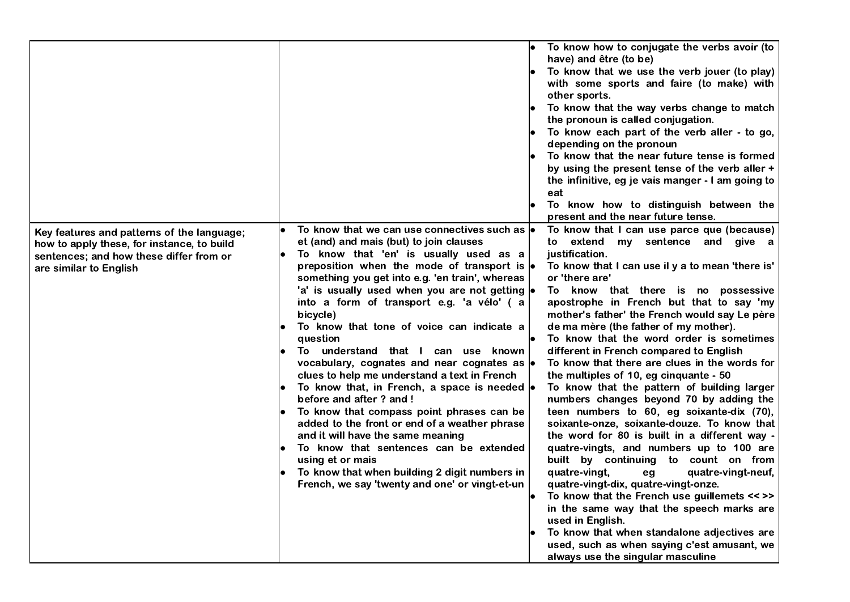|                                                                                                                                                               |                                                                                                                                                                                                                                                                                                                                                                                                                                                                                                                                                                                                                                                                                                                                                                                                                                                                                                                                                                                  | To know how to conjugate the verbs avoir (to<br>have) and être (to be)<br>To know that we use the verb jouer (to play)<br>with some sports and faire (to make) with<br>other sports.<br>To know that the way verbs change to match<br>the pronoun is called conjugation.<br>To know each part of the verb aller - to go,<br>depending on the pronoun<br>To know that the near future tense is formed<br>by using the present tense of the verb aller +<br>the infinitive, eg je vais manger - I am going to<br>eat<br>To know how to distinguish between the<br>present and the near future tense.                                                                                                                                                                                                                                                                                                                                                                                                                                                                                                                                                                                                           |
|---------------------------------------------------------------------------------------------------------------------------------------------------------------|----------------------------------------------------------------------------------------------------------------------------------------------------------------------------------------------------------------------------------------------------------------------------------------------------------------------------------------------------------------------------------------------------------------------------------------------------------------------------------------------------------------------------------------------------------------------------------------------------------------------------------------------------------------------------------------------------------------------------------------------------------------------------------------------------------------------------------------------------------------------------------------------------------------------------------------------------------------------------------|--------------------------------------------------------------------------------------------------------------------------------------------------------------------------------------------------------------------------------------------------------------------------------------------------------------------------------------------------------------------------------------------------------------------------------------------------------------------------------------------------------------------------------------------------------------------------------------------------------------------------------------------------------------------------------------------------------------------------------------------------------------------------------------------------------------------------------------------------------------------------------------------------------------------------------------------------------------------------------------------------------------------------------------------------------------------------------------------------------------------------------------------------------------------------------------------------------------|
| Key features and patterns of the language;<br>how to apply these, for instance, to build<br>sentences; and how these differ from or<br>are similar to English | To know that we can use connectives such as $\vert \bullet \vert$<br>et (and) and mais (but) to join clauses<br>To know that 'en' is usually used as a<br>preposition when the mode of transport is $\bullet$<br>something you get into e.g. 'en train', whereas<br>'a' is usually used when you are not getting  .<br>into a form of transport e.g. 'a vélo' (a<br>bicycle)<br>To know that tone of voice can indicate a<br>question<br>To understand that I can use known<br>vocabulary, cognates and near cognates as $\bullet$<br>clues to help me understand a text in French<br>To know that, in French, a space is needed  .<br>$\bullet$<br>before and after ? and !<br>To know that compass point phrases can be<br>added to the front or end of a weather phrase<br>and it will have the same meaning<br>To know that sentences can be extended<br>using et or mais<br>To know that when building 2 digit numbers in<br>French, we say 'twenty and one' or vingt-et-un | To know that I can use parce que (because)<br>extend my sentence and give a<br>to<br>justification.<br>To know that I can use il y a to mean 'there is'<br>or 'there are'<br>To know that there is no possessive<br>apostrophe in French but that to say 'my<br>mother's father' the French would say Le père<br>de ma mère (the father of my mother).<br>To know that the word order is sometimes<br>different in French compared to English<br>To know that there are clues in the words for<br>the multiples of 10, eg cinquante - 50<br>To know that the pattern of building larger<br>numbers changes beyond 70 by adding the<br>teen numbers to 60, eg soixante-dix (70),<br>soixante-onze, soixante-douze. To know that<br>the word for 80 is built in a different way -<br>quatre-vingts, and numbers up to 100 are<br>built by continuing to count on from<br>quatre-vingt,<br>quatre-vingt-neuf,<br>eg<br>quatre-vingt-dix, quatre-vingt-onze.<br>To know that the French use guillemets << >><br>in the same way that the speech marks are<br>used in English.<br>To know that when standalone adjectives are<br>used, such as when saying c'est amusant, we<br>always use the singular masculine |